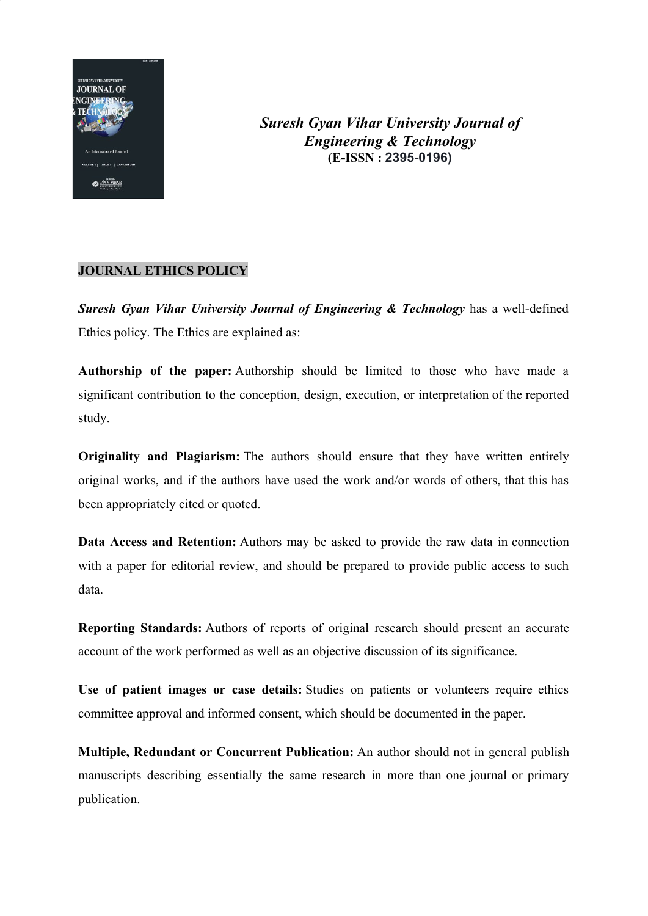

*Suresh Gyan Vihar University Journal of Engineering & Technology* **(E-ISSN : 2395-0196)**

## **JOURNAL ETHICS POLICY**

*Suresh Gyan Vihar University Journal of Engineering & Technology* has a well-defined Ethics policy. The Ethics are explained as:

**Authorship of the paper:** Authorship should be limited to those who have made a significant contribution to the conception, design, execution, or interpretation of the reported study.

**Originality and Plagiarism:** The authors should ensure that they have written entirely original works, and if the authors have used the work and/or words of others, that this has been appropriately cited or quoted.

**Data Access and Retention:** Authors may be asked to provide the raw data in connection with a paper for editorial review, and should be prepared to provide public access to such data.

**Reporting Standards:** Authors of reports of original research should present an accurate account of the work performed as well as an objective discussion of its significance.

**Use of patient images or case details:** Studies on patients or volunteers require ethics committee approval and informed consent, which should be documented in the paper.

**Multiple, Redundant or Concurrent Publication:** An author should not in general publish manuscripts describing essentially the same research in more than one journal or primary publication.